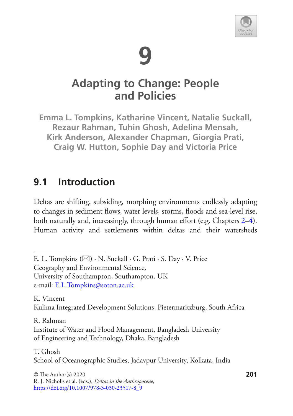

# **9**

# **Adapting to Change: People and Policies**

**Emma L. Tompkins, Katharine Vincent, Natalie Suckall, Rezaur Rahman, Tuhin Ghosh, Adelina Mensah, Kirk Anderson, Alexander Chapman, Giorgia Prati, Craig W. Hutton, Sophie Day and Victoria Price**

# **9.1 Introduction**

Deltas are shifting, subsiding, morphing environments endlessly adapting to changes in sediment fows, water levels, storms, foods and sea-level rise, both naturally and, increasingly, through human effort (e.g. Chapters [2](http://dx.doi.org/10.1007/978-3-030-23517-8_2)–[4](http://dx.doi.org/10.1007/978-3-030-23517-8_4)). Human activity and settlements within deltas and their watersheds

E. L. Tompkins  $(\boxtimes)$   $\cdot$  N. Suckall  $\cdot$  G. Prati  $\cdot$  S. Day  $\cdot$  V. Price

Geography and Environmental Science,

University of Southampton, Southampton, UK e-mail: E.L.Tompkins@soton.ac.uk

K. Vincent Kulima Integrated Development Solutions, Pietermaritzburg, South Africa

R. Rahman

Institute of Water and Flood Management, Bangladesh University of Engineering and Technology, Dhaka, Bangladesh

T. Ghosh School of Oceanographic Studies, Jadavpur University, Kolkata, India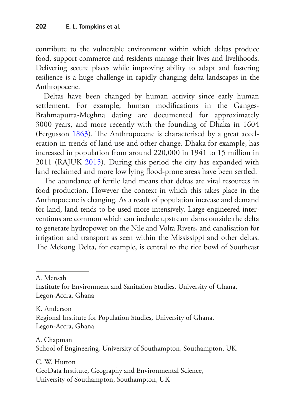contribute to the vulnerable environment within which deltas produce food, support commerce and residents manage their lives and livelihoods. Delivering secure places while improving ability to adapt and fostering resilience is a huge challenge in rapidly changing delta landscapes in the Anthropocene.

Deltas have been changed by human activity since early human settlement. For example, human modifcations in the Ganges-Brahmaputra-Meghna dating are documented for approximately 3000 years, and more recently with the founding of Dhaka in 1604 (Fergusson  $1863$ ). The Anthropocene is characterised by a great acceleration in trends of land use and other change. Dhaka for example, has increased in population from around 220,000 in 1941 to 15 million in 2011 (RAJUK [2015\)](#page-19-0). During this period the city has expanded with land reclaimed and more low lying flood-prone areas have been settled.

The abundance of fertile land means that deltas are vital resources in food production. However the context in which this takes place in the Anthropocene is changing. As a result of population increase and demand for land, land tends to be used more intensively. Large engineered interventions are common which can include upstream dams outside the delta to generate hydropower on the Nile and Volta Rivers, and canalisation for irrigation and transport as seen within the Mississippi and other deltas. The Mekong Delta, for example, is central to the rice bowl of Southeast

A. Mensah

Institute for Environment and Sanitation Studies, University of Ghana, Legon-Accra, Ghana

K. Anderson Regional Institute for Population Studies, University of Ghana, Legon-Accra, Ghana

A. Chapman School of Engineering, University of Southampton, Southampton, UK

C. W. Hutton GeoData Institute, Geography and Environmental Science, University of Southampton, Southampton, UK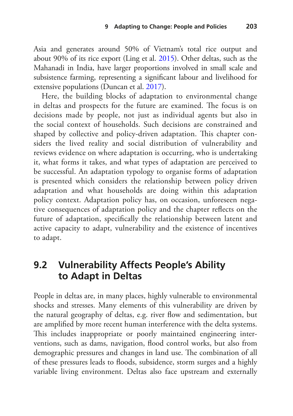Asia and generates around 50% of Vietnam's total rice output and about 90% of its rice export (Ling et al. [2015\)](#page-17-0). Other deltas, such as the Mahanadi in India, have larger proportions involved in small scale and subsistence farming, representing a signifcant labour and livelihood for extensive populations (Duncan et al. [2017\)](#page-16-1).

Here, the building blocks of adaptation to environmental change in deltas and prospects for the future are examined. The focus is on decisions made by people, not just as individual agents but also in the social context of households. Such decisions are constrained and shaped by collective and policy-driven adaptation. This chapter considers the lived reality and social distribution of vulnerability and reviews evidence on where adaptation is occurring, who is undertaking it, what forms it takes, and what types of adaptation are perceived to be successful. An adaptation typology to organise forms of adaptation is presented which considers the relationship between policy driven adaptation and what households are doing within this adaptation policy context. Adaptation policy has, on occasion, unforeseen negative consequences of adaptation policy and the chapter refects on the future of adaptation, specifcally the relationship between latent and active capacity to adapt, vulnerability and the existence of incentives to adapt.

#### **9.2 Vulnerability Affects People's Ability to Adapt in Deltas**

People in deltas are, in many places, highly vulnerable to environmental shocks and stresses. Many elements of this vulnerability are driven by the natural geography of deltas, e.g. river fow and sedimentation, but are amplifed by more recent human interference with the delta systems. This includes inappropriate or poorly maintained engineering interventions, such as dams, navigation, flood control works, but also from demographic pressures and changes in land use. The combination of all of these pressures leads to foods, subsidence, storm surges and a highly variable living environment. Deltas also face upstream and externally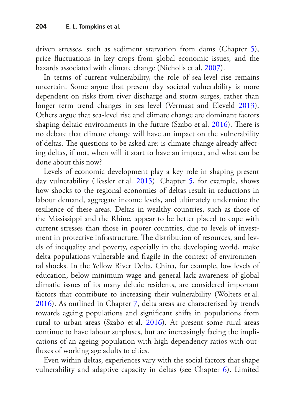driven stresses, such as sediment starvation from dams (Chapter [5\)](http://dx.doi.org/10.1007/978-3-030-23517-8_5), price fuctuations in key crops from global economic issues, and the hazards associated with climate change (Nicholls et al. [2007\)](#page-19-1).

In terms of current vulnerability, the role of sea-level rise remains uncertain. Some argue that present day societal vulnerability is more dependent on risks from river discharge and storm surges, rather than longer term trend changes in sea level (Vermaat and Eleveld [2013\)](#page-20-0). Others argue that sea-level rise and climate change are dominant factors shaping deltaic environments in the future (Szabo et al. [2016](#page-20-1)). There is no debate that climate change will have an impact on the vulnerability of deltas. The questions to be asked are: is climate change already affecting deltas, if not, when will it start to have an impact, and what can be done about this now?

Levels of economic development play a key role in shaping present day vulnerability (Tessler et al. [2015](#page-20-2)). Chapter [5](http://dx.doi.org/10.1007/978-3-030-23517-8_5), for example, shows how shocks to the regional economies of deltas result in reductions in labour demand, aggregate income levels, and ultimately undermine the resilience of these areas. Deltas in wealthy countries, such as those of the Mississippi and the Rhine, appear to be better placed to cope with current stresses than those in poorer countries, due to levels of investment in protective infrastructure. The distribution of resources, and levels of inequality and poverty, especially in the developing world, make delta populations vulnerable and fragile in the context of environmental shocks. In the Yellow River Delta, China, for example, low levels of education, below minimum wage and general lack awareness of global climatic issues of its many deltaic residents, are considered important factors that contribute to increasing their vulnerability (Wolters et al. [2016](#page-21-0)). As outlined in Chapter [7,](http://dx.doi.org/10.1007/978-3-030-23517-8_7) delta areas are characterised by trends towards ageing populations and signifcant shifts in populations from rural to urban areas (Szabo et al. [2016](#page-20-1)). At present some rural areas continue to have labour surpluses, but are increasingly facing the implications of an ageing population with high dependency ratios with outfuxes of working age adults to cities.

Even within deltas, experiences vary with the social factors that shape vulnerability and adaptive capacity in deltas (see Chapter [6\)](http://dx.doi.org/10.1007/978-3-030-23517-8_6). Limited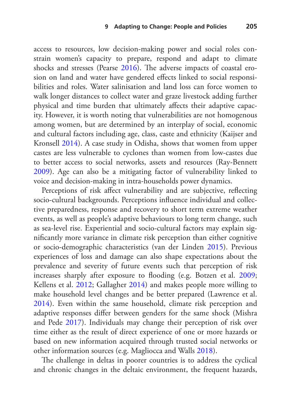access to resources, low decision-making power and social roles constrain women's capacity to prepare, respond and adapt to climate shocks and stresses (Pearse [2016](#page-19-2)). The adverse impacts of coastal erosion on land and water have gendered efects linked to social responsibilities and roles. Water salinisation and land loss can force women to walk longer distances to collect water and graze livestock adding further physical and time burden that ultimately afects their adaptive capacity. However, it is worth noting that vulnerabilities are not homogenous among women, but are determined by an interplay of social, economic and cultural factors including age, class, caste and ethnicity (Kaijser and Kronsell [2014\)](#page-17-1). A case study in Odisha, shows that women from upper castes are less vulnerable to cyclones than women from low-castes due to better access to social networks, assets and resources (Ray-Bennett [2009](#page-19-3)). Age can also be a mitigating factor of vulnerability linked to voice and decision-making in intra-households power dynamics.

Perceptions of risk affect vulnerability and are subjective, reflecting socio-cultural backgrounds. Perceptions infuence individual and collective preparedness, response and recovery to short term extreme weather events, as well as people's adaptive behaviours to long term change, such as sea-level rise. Experiential and socio-cultural factors may explain signifcantly more variance in climate risk perception than either cognitive or socio-demographic characteristics (van der Linden [2015\)](#page-20-3). Previous experiences of loss and damage can also shape expectations about the prevalence and severity of future events such that perception of risk increases sharply after exposure to flooding (e.g. Botzen et al. [2009;](#page-15-0) Kellens et al. [2012;](#page-17-2) Gallagher [2014\)](#page-17-3) and makes people more willing to make household level changes and be better prepared (Lawrence et al. [2014](#page-17-4)). Even within the same household, climate risk perception and adaptive responses difer between genders for the same shock (Mishra and Pede [2017\)](#page-18-0). Individuals may change their perception of risk over time either as the result of direct experience of one or more hazards or based on new information acquired through trusted social networks or other information sources (e.g. Magliocca and Walls [2018\)](#page-18-1).

The challenge in deltas in poorer countries is to address the cyclical and chronic changes in the deltaic environment, the frequent hazards,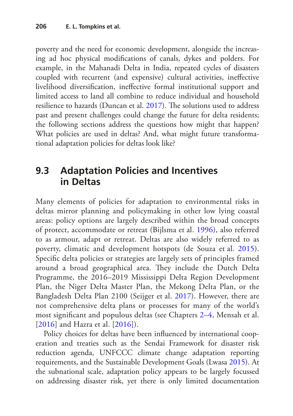poverty and the need for economic development, alongside the increasing ad hoc physical modifcations of canals, dykes and polders. For example, in the Mahanadi Delta in India, repeated cycles of disasters coupled with recurrent (and expensive) cultural activities, inefective livelihood diversifcation, inefective formal institutional support and limited access to land all combine to reduce individual and household resilience to hazards (Duncan et al. [2017](#page-16-1)). The solutions used to address past and present challenges could change the future for delta residents; the following sections address the questions how might that happen? What policies are used in deltas? And, what might future transformational adaptation policies for deltas look like?

## **9.3 Adaptation Policies and Incentives in Deltas**

Many elements of policies for adaptation to environmental risks in deltas mirror planning and policymaking in other low lying coastal areas: policy options are largely described within the broad concepts of protect, accommodate or retreat (Bijlsma et al. [1996](#page-15-1)), also referred to as armour, adapt or retreat. Deltas are also widely referred to as poverty, climatic and development hotspots (de Souza et al. [2015\)](#page-16-2). Specifc delta policies or strategies are largely sets of principles framed around a broad geographical area. They include the Dutch Delta Programme, the 2016–2019 Mississippi Delta Region Development Plan, the Niger Delta Master Plan, the Mekong Delta Plan, or the Bangladesh Delta Plan 2100 (Seijger et al. [2017\)](#page-19-4). However, there are not comprehensive delta plans or processes for many of the world's most signifcant and populous deltas (see Chapters [2](http://dx.doi.org/10.1007/978-3-030-23517-8_2)–[4,](http://dx.doi.org/10.1007/978-3-030-23517-8_4) Mensah et al. [[2016](#page-17-5)] and Hazra et al. [2016]).

Policy choices for deltas have been infuenced by international cooperation and treaties such as the Sendai Framework for disaster risk reduction agenda, UNFCCC climate change adaptation reporting requirements, and the Sustainable Development Goals (Lwasa [2015](#page-18-3)). At the subnational scale, adaptation policy appears to be largely focussed on addressing disaster risk, yet there is only limited documentation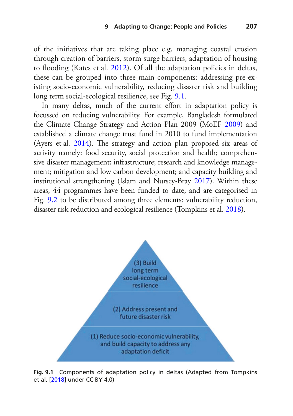of the initiatives that are taking place e.g. managing coastal erosion through creation of barriers, storm surge barriers, adaptation of housing to flooding (Kates et al. [2012\)](#page-17-6). Of all the adaptation policies in deltas, these can be grouped into three main components: addressing pre-existing socio-economic vulnerability, reducing disaster risk and building long term social-ecological resilience, see Fig. [9.1.](#page-6-0)

In many deltas, much of the current effort in adaptation policy is focussed on reducing vulnerability. For example, Bangladesh formulated the Climate Change Strategy and Action Plan 2009 (MoEF [2009](#page-18-4)) and established a climate change trust fund in 2010 to fund implementation (Ayers et al.  $2014$ ). The strategy and action plan proposed six areas of activity namely: food security, social protection and health; comprehensive disaster management; infrastructure; research and knowledge management; mitigation and low carbon development; and capacity building and institutional strengthening (Islam and Nursey-Bray [2017\)](#page-17-7). Within these areas, 44 programmes have been funded to date, and are categorised in Fig. [9.2](#page-7-0) to be distributed among three elements: vulnerability reduction, disaster risk reduction and ecological resilience (Tompkins et al. [2018\)](#page-20-4).



<span id="page-6-0"></span>**Fig. 9.1** Components of adaptation policy in deltas (Adapted from Tompkins et al. [\[2018](#page-20-4)] under CC BY 4.0)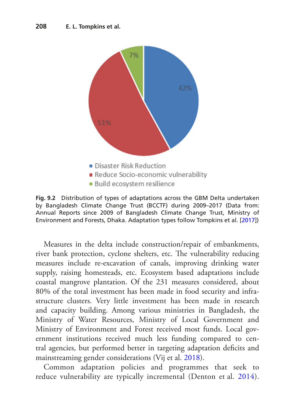

<span id="page-7-0"></span>**Fig. 9.2** Distribution of types of adaptations across the GBM Delta undertaken by Bangladesh Climate Change Trust (BCCTF) during 2009–2017 (Data from: Annual Reports since 2009 of Bangladesh Climate Change Trust, Ministry of Environment and Forests, Dhaka. Adaptation types follow Tompkins et al. [\[2017](#page-20-6)])

Measures in the delta include construction/repair of embankments, river bank protection, cyclone shelters, etc. The vulnerability reducing measures include re-excavation of canals, improving drinking water supply, raising homesteads, etc. Ecosystem based adaptations include coastal mangrove plantation. Of the 231 measures considered, about 80% of the total investment has been made in food security and infrastructure clusters. Very little investment has been made in research and capacity building. Among various ministries in Bangladesh, the Ministry of Water Resources, Ministry of Local Government and Ministry of Environment and Forest received most funds. Local government institutions received much less funding compared to central agencies, but performed better in targeting adaptation defcits and mainstreaming gender considerations (Vij et al. [2018\)](#page-20-5).

Common adaptation policies and programmes that seek to reduce vulnerability are typically incremental (Denton et al. [2014\)](#page-16-3).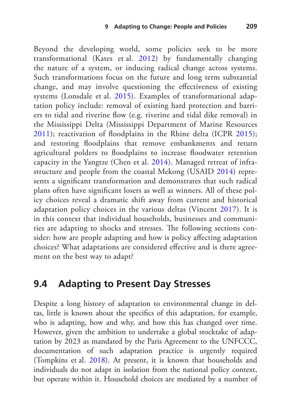Beyond the developing world, some policies seek to be more transformational (Kates et al. [2012\)](#page-17-6) by fundamentally changing the nature of a system, or inducing radical change across systems. Such transformations focus on the future and long term substantial change, and may involve questioning the efectiveness of existing systems (Lonsdale et al. [2015\)](#page-18-5). Examples of transformational adaptation policy include: removal of existing hard protection and barriers to tidal and riverine fow (e.g. riverine and tidal dike removal) in the Mississippi Delta (Mississippi Department of Marine Resources [2011\)](#page-18-6); reactivation of foodplains in the Rhine delta (ICPR [2015\)](#page-17-8); and restoring foodplains that remove embankments and return agricultural polders to foodplains to increase foodwater retention capacity in the Yangtze (Chen et al. [2014\)](#page-16-4). Managed retreat of infrastructure and people from the coastal Mekong (USAID [2014](#page-20-7)) represents a signifcant transformation and demonstrates that such radical plans often have signifcant losers as well as winners. All of these policy choices reveal a dramatic shift away from current and historical adaptation policy choices in the various deltas (Vincent [2017\)](#page-21-1). It is in this context that individual households, businesses and communities are adapting to shocks and stresses. The following sections consider: how are people adapting and how is policy afecting adaptation choices? What adaptations are considered efective and is there agreement on the best way to adapt?

#### **9.4 Adapting to Present Day Stresses**

Despite a long history of adaptation to environmental change in deltas, little is known about the specifcs of this adaptation, for example, who is adapting, how and why, and how this has changed over time. However, given the ambition to undertake a global stocktake of adaptation by 2023 as mandated by the Paris Agreement to the UNFCCC, documentation of such adaptation practice is urgently required (Tompkins et al. [2018\)](#page-20-4). At present, it is known that households and individuals do not adapt in isolation from the national policy context, but operate within it. Household choices are mediated by a number of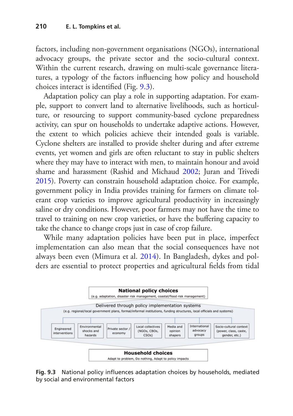factors, including non-government organisations (NGOs), international advocacy groups, the private sector and the socio-cultural context. Within the current research, drawing on multi-scale governance literatures, a typology of the factors infuencing how policy and household choices interact is identifed (Fig. [9.3\)](#page-9-0).

Adaptation policy can play a role in supporting adaptation. For example, support to convert land to alternative livelihoods, such as horticulture, or resourcing to support community-based cyclone preparedness activity, can spur on households to undertake adaptive actions. However, the extent to which policies achieve their intended goals is variable. Cyclone shelters are installed to provide shelter during and after extreme events, yet women and girls are often reluctant to stay in public shelters where they may have to interact with men, to maintain honour and avoid shame and harassment (Rashid and Michaud [2002](#page-19-5); Juran and Trivedi [2015\)](#page-17-9). Poverty can constrain household adaptation choice. For example, government policy in India provides training for farmers on climate tolerant crop varieties to improve agricultural productivity in increasingly saline or dry conditions. However, poor farmers may not have the time to travel to training on new crop varieties, or have the bufering capacity to take the chance to change crops just in case of crop failure.

While many adaptation policies have been put in place, imperfect implementation can also mean that the social consequences have not always been even (Mimura et al. [2014\)](#page-18-7). In Bangladesh, dykes and polders are essential to protect properties and agricultural felds from tidal



<span id="page-9-0"></span>**Fig. 9.3** National policy infuences adaptation choices by households, mediated by social and environmental factors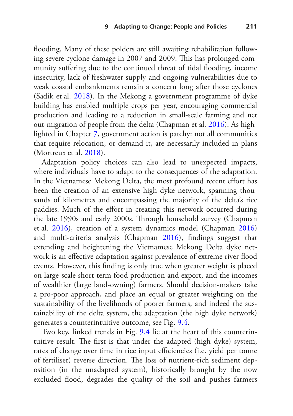fooding. Many of these polders are still awaiting rehabilitation following severe cyclone damage in 2007 and 2009. This has prolonged community sufering due to the continued threat of tidal fooding, income insecurity, lack of freshwater supply and ongoing vulnerabilities due to weak coastal embankments remain a concern long after those cyclones (Sadik et al. [2018\)](#page-19-6). In the Mekong a government programme of dyke building has enabled multiple crops per year, encouraging commercial production and leading to a reduction in small-scale farming and net out-migration of people from the delta (Chapman et al. [2016\)](#page-16-5). As highlighted in Chapter [7,](http://dx.doi.org/10.1007/978-3-030-23517-8_7) government action is patchy: not all communities that require relocation, or demand it, are necessarily included in plans (Mortreux et al. [2018](#page-19-7)).

Adaptation policy choices can also lead to unexpected impacts, where individuals have to adapt to the consequences of the adaptation. In the Vietnamese Mekong Delta, the most profound recent efort has been the creation of an extensive high dyke network, spanning thousands of kilometres and encompassing the majority of the delta's rice paddies. Much of the effort in creating this network occurred during the late 1990s and early 2000s. Through household survey (Chapman et al. [2016\)](#page-16-5), creation of a system dynamics model (Chapman [2016\)](#page-16-6) and multi-criteria analysis (Chapman [2016](#page-16-6)), fndings suggest that extending and heightening the Vietnamese Mekong Delta dyke network is an effective adaptation against prevalence of extreme river flood events. However, this fnding is only true when greater weight is placed on large-scale short-term food production and export, and the incomes of wealthier (large land-owning) farmers. Should decision-makers take a pro-poor approach, and place an equal or greater weighting on the sustainability of the livelihoods of poorer farmers, and indeed the sustainability of the delta system, the adaptation (the high dyke network) generates a counterintuitive outcome, see Fig. [9.4.](#page-11-0)

Two key, linked trends in Fig. [9.4](#page-11-0) lie at the heart of this counterintuitive result. The first is that under the adapted (high dyke) system, rates of change over time in rice input efficiencies (i.e. yield per tonne of fertiliser) reverse direction. The loss of nutrient-rich sediment deposition (in the unadapted system), historically brought by the now excluded food, degrades the quality of the soil and pushes farmers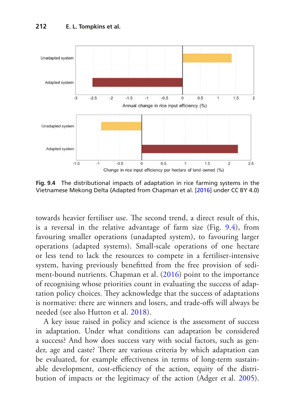

<span id="page-11-0"></span>**Fig. 9.4** The distributional impacts of adaptation in rice farming systems in the Vietnamese Mekong Delta (Adapted from Chapman et al. [\[2016\]](#page-16-5) under CC BY 4.0)

towards heavier fertiliser use. The second trend, a direct result of this, is a reversal in the relative advantage of farm size (Fig. [9.4](#page-11-0)), from favouring smaller operations (unadapted system), to favouring larger operations (adapted systems). Small-scale operations of one hectare or less tend to lack the resources to compete in a fertiliser-intensive system, having previously beneftted from the free provision of sediment-bound nutrients. Chapman et al. [\(2016\)](#page-16-5) point to the importance of recognising whose priorities count in evaluating the success of adaptation policy choices. They acknowledge that the success of adaptations is normative: there are winners and losers, and trade-ofs will always be needed (see also Hutton et al. [2018](#page-17-10)).

A key issue raised in policy and science is the assessment of success in adaptation. Under what conditions can adaptation be considered a success? And how does success vary with social factors, such as gender, age and caste? There are various criteria by which adaptation can be evaluated, for example efectiveness in terms of long-term sustainable development, cost-efficiency of the action, equity of the distribution of impacts or the legitimacy of the action (Adger et al. [2005\)](#page-15-3).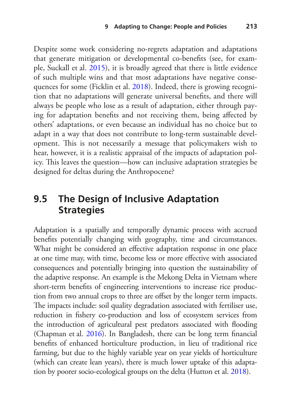Despite some work considering no-regrets adaptation and adaptations that generate mitigation or developmental co-benefts (see, for example, Suckall et al. [2015\)](#page-19-8), it is broadly agreed that there is little evidence of such multiple wins and that most adaptations have negative consequences for some (Ficklin et al. [2018](#page-16-7)). Indeed, there is growing recognition that no adaptations will generate universal benefts, and there will always be people who lose as a result of adaptation, either through paying for adaptation benefts and not receiving them, being afected by others' adaptations, or even because an individual has no choice but to adapt in a way that does not contribute to long-term sustainable development. This is not necessarily a message that policymakers wish to hear, however, it is a realistic appraisal of the impacts of adaptation policy. This leaves the question—how can inclusive adaptation strategies be designed for deltas during the Anthropocene?

## **9.5 The Design of Inclusive Adaptation Strategies**

Adaptation is a spatially and temporally dynamic process with accrued benefts potentially changing with geography, time and circumstances. What might be considered an effective adaptation response in one place at one time may, with time, become less or more efective with associated consequences and potentially bringing into question the sustainability of the adaptive response. An example is the Mekong Delta in Vietnam where short-term benefts of engineering interventions to increase rice production from two annual crops to three are offset by the longer term impacts. The impacts include: soil quality degradation associated with fertiliser use, reduction in fshery co-production and loss of ecosystem services from the introduction of agricultural pest predators associated with fooding (Chapman et al. [2016\)](#page-16-5). In Bangladesh, there can be long term fnancial benefts of enhanced horticulture production, in lieu of traditional rice farming, but due to the highly variable year on year yields of horticulture (which can create lean years), there is much lower uptake of this adaptation by poorer socio-ecological groups on the delta (Hutton et al. [2018\)](#page-17-10).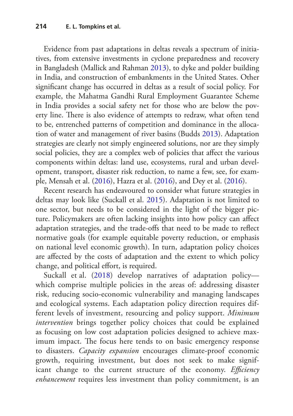Evidence from past adaptations in deltas reveals a spectrum of initiatives, from extensive investments in cyclone preparedness and recovery in Bangladesh (Mallick and Rahman [2013](#page-18-8)), to dyke and polder building in India, and construction of embankments in the United States. Other signifcant change has occurred in deltas as a result of social policy. For example, the Mahatma Gandhi Rural Employment Guarantee Scheme in India provides a social safety net for those who are below the poverty line. There is also evidence of attempts to redraw, what often tend to be, entrenched patterns of competition and dominance in the allocation of water and management of river basins (Budds [2013](#page-16-8)). Adaptation strategies are clearly not simply engineered solutions, nor are they simply social policies, they are a complex web of policies that afect the various components within deltas: land use, ecosystems, rural and urban development, transport, disaster risk reduction, to name a few, see, for example, Mensah et al. [\(2016](#page-18-2)), Hazra et al. [\(2016](#page-17-5)), and Dey et al. ([2016](#page-16-9)).

Recent research has endeavoured to consider what future strategies in deltas may look like (Suckall et al. [2015](#page-19-8)). Adaptation is not limited to one sector, but needs to be considered in the light of the bigger picture. Policymakers are often lacking insights into how policy can afect adaptation strategies, and the trade-ofs that need to be made to refect normative goals (for example equitable poverty reduction, or emphasis on national level economic growth). In turn, adaptation policy choices are afected by the costs of adaptation and the extent to which policy change, and political efort, is required.

Suckall et al. ([2018](#page-20-8)) develop narratives of adaptation policy which comprise multiple policies in the areas of: addressing disaster risk, reducing socio-economic vulnerability and managing landscapes and ecological systems. Each adaptation policy direction requires different levels of investment, resourcing and policy support. *Minimum intervention* brings together policy choices that could be explained as focusing on low cost adaptation policies designed to achieve maximum impact. The focus here tends to on basic emergency response to disasters. *Capacity expansion* encourages climate-proof economic growth, requiring investment, but does not seek to make significant change to the current structure of the economy. *Efficiency enhancement* requires less investment than policy commitment, is an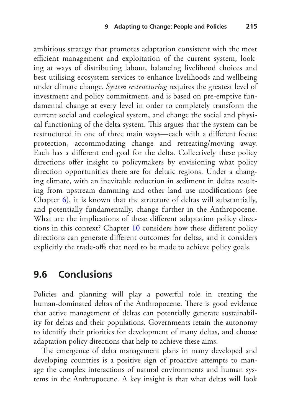ambitious strategy that promotes adaptation consistent with the most efficient management and exploitation of the current system, looking at ways of distributing labour, balancing livelihood choices and best utilising ecosystem services to enhance livelihoods and wellbeing under climate change. *System restructuring* requires the greatest level of investment and policy commitment, and is based on pre-emptive fundamental change at every level in order to completely transform the current social and ecological system, and change the social and physical functioning of the delta system. This argues that the system can be restructured in one of three main ways—each with a diferent focus: protection, accommodating change and retreating/moving away. Each has a diferent end goal for the delta. Collectively these policy directions offer insight to policymakers by envisioning what policy direction opportunities there are for deltaic regions. Under a changing climate, with an inevitable reduction in sediment in deltas resulting from upstream damming and other land use modifcations (see Chapter [6](http://dx.doi.org/10.1007/978-3-030-23517-8_6)), it is known that the structure of deltas will substantially, and potentially fundamentally, change further in the Anthropocene. What are the implications of these diferent adaptation policy directions in this context? Chapter [10](http://dx.doi.org/10.1007/978-3-030-23517-8_10) considers how these diferent policy directions can generate diferent outcomes for deltas, and it considers explicitly the trade-ofs that need to be made to achieve policy goals.

#### **9.6 Conclusions**

Policies and planning will play a powerful role in creating the human-dominated deltas of the Anthropocene. There is good evidence that active management of deltas can potentially generate sustainability for deltas and their populations. Governments retain the autonomy to identify their priorities for development of many deltas, and choose adaptation policy directions that help to achieve these aims.

The emergence of delta management plans in many developed and developing countries is a positive sign of proactive attempts to manage the complex interactions of natural environments and human systems in the Anthropocene. A key insight is that what deltas will look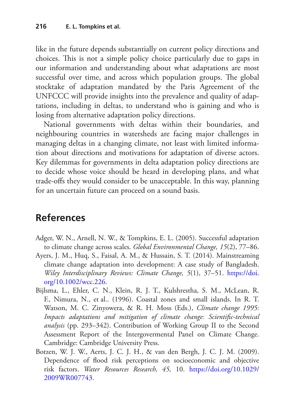like in the future depends substantially on current policy directions and choices. This is not a simple policy choice particularly due to gaps in our information and understanding about what adaptations are most successful over time, and across which population groups. The global stocktake of adaptation mandated by the Paris Agreement of the UNFCCC will provide insights into the prevalence and quality of adaptations, including in deltas, to understand who is gaining and who is losing from alternative adaptation policy directions.

National governments with deltas within their boundaries, and neighbouring countries in watersheds are facing major challenges in managing deltas in a changing climate, not least with limited information about directions and motivations for adaptation of diverse actors. Key dilemmas for governments in delta adaptation policy directions are to decide whose voice should be heard in developing plans, and what trade-ofs they would consider to be unacceptable. In this way, planning for an uncertain future can proceed on a sound basis.

#### **References**

- <span id="page-15-3"></span>Adger, W. N., Arnell, N. W., & Tompkins, E. L. (2005). Successful adaptation to climate change across scales. *Global Environmental Change, 15*(2), 77–86.
- <span id="page-15-2"></span>Ayers, J. M., Huq, S., Faisal, A. M., & Hussain, S. T. (2014). Mainstreaming climate change adaptation into development: A case study of Bangladesh. *Wiley Interdisciplinary Reviews: Climate Change, 5*(1), 37–51. [https://doi.](http://dx.doi.org/10.1002/wcc.226) [org/10.1002/wcc.226.](http://dx.doi.org/10.1002/wcc.226)
- <span id="page-15-1"></span>Bijlsma, L., Ehler, C. N., Klein, R. J. T., Kulshrestha, S. M., McLean, R. F., Nimura, N., et al.. (1996). Coastal zones and small islands. In R. T. Watson, M. C. Zinyowera, & R. H. Moss (Eds.), *Climate change 1995: Impacts adaptations and mitigation of climate change: Scientifc-technical analysis* (pp. 293–342). Contribution of Working Group II to the Second Assessment Report of the Intergovermental Panel on Climate Change. Cambridge: Cambridge University Press.
- <span id="page-15-0"></span>Botzen, W. J. W., Aerts, J. C. J. H., & van den Bergh, J. C. J. M. (2009). Dependence of food risk perceptions on socioeconomic and objective risk factors. *Water Resources Research, 45,* 10. [https://doi.org/10.1029/](http://dx.doi.org/10.1029/2009WR007743) [2009WR007743](http://dx.doi.org/10.1029/2009WR007743).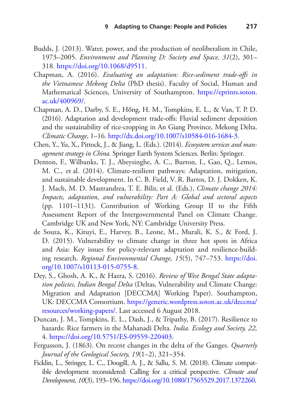- <span id="page-16-8"></span>Budds, J. (2013). Water, power, and the production of neoliberalism in Chile, 1973–2005. *Environment and Planning D: Society and Space, 31*(2), 301– 318. [https://doi.org/10.1068/d9511.](http://dx.doi.org/10.1068/d9511)
- <span id="page-16-6"></span>Chapman, A. (2016). *Evaluating an adaptation: Rice-sediment trade-ofs in the Vietnamese Mekong Delta* (PhD thesis). Faculty of Social, Human and Mathematical Sciences, University of Southampton. [https://eprints.soton.](https://eprints.soton.ac.uk/400969/) [ac.uk/400969/](https://eprints.soton.ac.uk/400969/).
- <span id="page-16-5"></span>Chapman, A. D., Darby, S. E., Hồng, H. M., Tompkins, E. L., & Van, T. P. D. (2016). Adaptation and development trade-ofs: Fluvial sediment deposition and the sustainability of rice-cropping in An Giang Province, Mekong Delta. *Climatic Change*, 1–16. <http://dx.doi.org/10.1007/s10584-016-1684-3>.
- <span id="page-16-4"></span>Chen, Y., Yu, X., Pittock, J., & Jiang, L. (Eds.). (2014). *Ecosystem services and management strategy in China.* Springer Earth System Sciences. Berlin: Springer.
- <span id="page-16-3"></span>Denton, F., Wilbanks, T. J., Abeysinghe, A. C., Burton, I., Gao, Q., Lemos, M. C., et al. (2014). Climate-resilient pathways: Adaptation, mitigation, and sustainable development. In C. B. Field, V. R. Barros, D. J. Dokken, K. J. Mach, M. D. Mastrandrea, T. E. Bilir, et al. (Eds.), *Climate change 2014: Impacts, adaptation, and vulnerability: Part A: Global and sectoral aspects* (pp. 1101–1131). Contribution of Working Group II to the Fifth Assessment Report of the Intergovernmental Panel on Climate Change. Cambridge UK and New York, NY: Cambridge University Press.
- <span id="page-16-2"></span>de Souza, K., Kituyi, E., Harvey, B., Leone, M., Murali, K. S., & Ford, J. D. (2015). Vulnerability to climate change in three hot spots in Africa and Asia: Key issues for policy-relevant adaptation and resilience-building research. *Regional Environmental Change, 15*(5), 747–753. [https://doi.](http://dx.doi.org/10.1007/s10113-015-0755-8) [org/10.1007/s10113-015-0755-8](http://dx.doi.org/10.1007/s10113-015-0755-8).
- <span id="page-16-9"></span>Dey, S., Ghosh, A. K., & Hazra, S. (2016). *Review of West Bengal State adaptation policies, Indian Bengal Delta* (Deltas, Vulnerability and Climate Change: Migration and Adaptation [DECCMA] Working Paper). Southampton, UK: DECCMA Consortium. [https://generic.wordpress.soton.ac.uk/deccma/](https://generic.wordpress.soton.ac.uk/deccma/resources/working-papers/) [resources/working-papers/](https://generic.wordpress.soton.ac.uk/deccma/resources/working-papers/). Last accessed 6 August 2018.
- <span id="page-16-1"></span>Duncan, J. M., Tompkins, E. L., Dash, J., & Tripathy, B. (2017). Resilience to hazards: Rice farmers in the Mahanadi Delta. *India. Ecology and Society, 22,* 4. [https://doi.org/10.5751/ES-09559-220403.](http://dx.doi.org/10.5751/ES-09559-220403)
- <span id="page-16-0"></span>Fergusson, J. (1863). On recent changes in the delta of the Ganges. *Quarterly Journal of the Geological Society, 19*(1–2), 321–354.
- <span id="page-16-7"></span>Ficklin, L., Stringer, L. C., Dougill, A. J., & Sallu, S. M. (2018). Climate compatible development reconsidered: Calling for a critical perspective. *Climate and Development, 10*(3), 193–196. [https://doi.org/10.1080/17565529.2017.1372260](http://dx.doi.org/10.1080/17565529.2017.1372260).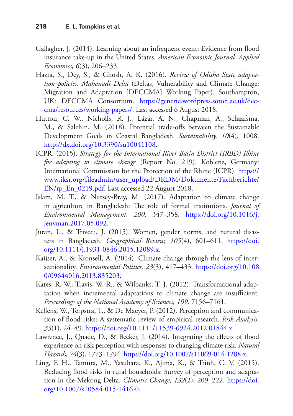- <span id="page-17-3"></span>Gallagher, J. (2014). Learning about an infrequent event: Evidence from food insurance take-up in the United States. *American Economic Journal: Applied Economics, 6*(3), 206–233.
- <span id="page-17-5"></span>Hazra, S., Dey, S., & Ghosh, A. K. (2016). *Review of Odisha State adaptation policies, Mahanadi Delta* (Deltas, Vulnerability and Climate Change: Migration and Adaptation [DECCMA] Working Paper). Southampton, UK: DECCMA Consortium. [https://generic.wordpress.soton.ac.uk/dec](https://generic.wordpress.soton.ac.uk/deccma/resources/working-papers/)[cma/resources/working-papers/](https://generic.wordpress.soton.ac.uk/deccma/resources/working-papers/). Last accessed 6 August 2018.
- <span id="page-17-10"></span>Hutton, C. W., Nicholls, R. J., Lázár, A. N., Chapman, A., Schaafsma, M., & Salehin, M. (2018). Potential trade-ofs between the Sustainable Development Goals in Coastal Bangladesh. *Sustainability, 10*(4), 1008. <http://dx.doi.org/10.3390/su10041108>.
- <span id="page-17-8"></span>ICPR. (2015). *Strategy for the International River Basin District (IRBD) Rhine for adapting to climate change* (Report No. 219). Koblenz, Germany: International Commission for the Protection of the Rhine (ICPR). [https://](https://www.iksr.org/fileadmin/user_upload/DKDM/Dokumente/Fachberichte/EN/rp_En_0219.pdf) [www.iksr.org/fileadmin/user\\_upload/DKDM/Dokumente/Fachberichte/](https://www.iksr.org/fileadmin/user_upload/DKDM/Dokumente/Fachberichte/EN/rp_En_0219.pdf) [EN/rp\\_En\\_0219.pdf.](https://www.iksr.org/fileadmin/user_upload/DKDM/Dokumente/Fachberichte/EN/rp_En_0219.pdf) Last accessed 22 August 2018.
- <span id="page-17-7"></span>Islam, M. T., & Nursey-Bray, M. (2017). Adaptation to climate change in agriculture in Bangladesh: The role of formal institutions. *Journal of Environmental Management, 200,* 347–358. [https://doi.org/10.1016/j.](http://dx.doi.org/10.1016/j.jenvman.2017.05.092) [jenvman.2017.05.092](http://dx.doi.org/10.1016/j.jenvman.2017.05.092).
- <span id="page-17-9"></span>Juran, L., & Trivedi, J. (2015). Women, gender norms, and natural disasters in Bangladesh. *Geographical Review, 105*(4), 601–611. [https://doi.](http://dx.doi.org/10.1111/j.1931-0846.2015.12089.x) [org/10.1111/j.1931-0846.2015.12089.x.](http://dx.doi.org/10.1111/j.1931-0846.2015.12089.x)
- <span id="page-17-1"></span>Kaijser, A., & Kronsell, A. (2014). Climate change through the lens of intersectionality. *Environmental Politics, 23*(3), 417–433. [https://doi.org/10.108](http://dx.doi.org/10.1080/09644016.2013.835203) [0/09644016.2013.835203](http://dx.doi.org/10.1080/09644016.2013.835203).
- <span id="page-17-6"></span>Kates, R. W., Travis, W. R., & Wilbanks, T. J. (2012). Transformational adaptation when incremental adaptations to climate change are insufficient. *Proceedings of the National Academy of Sciences, 109,* 7156–7161.
- <span id="page-17-2"></span>Kellens, W., Terpstra, T., & De Maeyer, P. (2012). Perception and communication of food risks: A systematic review of empirical research. *Risk Analysis, 33*(1), 24–49. [https://doi.org/10.1111/j.1539-6924.2012.01844.x.](http://dx.doi.org/10.1111/j.1539-6924.2012.01844.x)
- <span id="page-17-4"></span>Lawrence, J., Quade, D., & Becker, J. (2014). Integrating the effects of flood experience on risk perception with responses to changing climate risk. *Natural Hazards, 74*(3), 1773–1794. [https://doi.org/10.1007/s11069-014-1288-z](http://dx.doi.org/10.1007/s11069-014-1288-z).
- <span id="page-17-0"></span>Ling, F. H., Tamura, M., Yasuhara, K., Ajima, K., & Trinh, C. V. (2015). Reducing flood risks in rural households: Survey of perception and adaptation in the Mekong Delta. *Climatic Change, 132*(2), 209–222. [https://doi.](http://dx.doi.org/10.1007/s10584-015-1416-0) [org/10.1007/s10584-015-1416-0](http://dx.doi.org/10.1007/s10584-015-1416-0).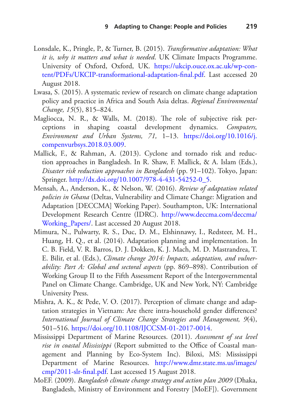- <span id="page-18-5"></span>Lonsdale, K., Pringle, P., & Turner, B. (2015). *Transformative adaptation: What it is, why it matters and what is needed*. UK Climate Impacts Programme. University of Oxford, Oxford, UK. [https://ukcip.ouce.ox.ac.uk/wp-con](https://ukcip.ouce.ox.ac.uk/wp-content/PDFs/UKCIP-transformational-adaptation-final.pdf)[tent/PDFs/UKCIP-transformational-adaptation-fnal.pdf.](https://ukcip.ouce.ox.ac.uk/wp-content/PDFs/UKCIP-transformational-adaptation-final.pdf) Last accessed 20 August 2018.
- <span id="page-18-3"></span>Lwasa, S. (2015). A systematic review of research on climate change adaptation policy and practice in Africa and South Asia deltas. *Regional Environmental Change, 15*(5), 815–824.
- <span id="page-18-1"></span>Magliocca, N. R., & Walls, M. (2018). The role of subjective risk perceptions in shaping coastal development dynamics. *Computers, Environment and Urban Systems, 71,* 1–13. [https://doi.org/10.1016/j.](http://dx.doi.org/10.1016/j.compenvurbsys.2018.03.009) [compenvurbsys.2018.03.009.](http://dx.doi.org/10.1016/j.compenvurbsys.2018.03.009)
- <span id="page-18-8"></span>Mallick, F., & Rahman, A. (2013). Cyclone and tornado risk and reduction approaches in Bangladesh. In R. Shaw, F. Mallick, & A. Islam (Eds.), *Disaster risk reduction approaches in Bangladesh* (pp. 91–102). Tokyo, Japan: Springer. [http://dx.doi.org/10.1007/978-4-431-54252-0\\_5](http://dx.doi.org/10.1007/978-4-431-54252-0_5).
- <span id="page-18-2"></span>Mensah, A., Anderson, K., & Nelson, W. (2016). *Review of adaptation related policies in Ghana* (Deltas, Vulnerability and Climate Change: Migration and Adaptation [DECCMA] Working Paper). Southampton, UK: International Development Research Centre (IDRC). [http://www.deccma.com/deccma/](http://www.deccma.com/deccma/Working_Papers/) Working Papers/. Last accessed 20 August 2018.
- <span id="page-18-7"></span>Mimura, N., Pulwarty, R. S., Duc, D. M., Elshinnawy, I., Redsteer, M. H., Huang, H. Q., et al. (2014). Adaptation planning and implementation. In C. B. Field, V. R. Barros, D. J. Dokken, K. J. Mach, M. D. Mastrandrea, T. E. Bilir, et al. (Eds.), *Climate change 2014: Impacts, adaptation, and vulnerability: Part A: Global and sectoral aspects* (pp. 869–898). Contribution of Working Group II to the Fifth Assessment Report of the Intergovernmental Panel on Climate Change. Cambridge, UK and New York, NY: Cambridge University Press.
- <span id="page-18-0"></span>Mishra, A. K., & Pede, V. O. (2017). Perception of climate change and adaptation strategies in Vietnam: Are there intra-household gender diferences? *International Journal of Climate Change Strategies and Management, 9*(4), 501–516. [https://doi.org/10.1108/IJCCSM-01-2017-0014](http://dx.doi.org/10.1108/IJCCSM-01-2017-0014).
- <span id="page-18-6"></span>Mississippi Department of Marine Resources. (2011). *Assessment of sea level*  rise in coastal Mississippi (Report submitted to the Office of Coastal management and Planning by Eco-System Inc). Biloxi, MS: Mississippi Department of Marine Resources. [http://www.dmr.state.ms.us/images/](http://www.dmr.state.ms.us/images/cmp/2011-slr-final.pdf) [cmp/2011-slr-fnal.pdf.](http://www.dmr.state.ms.us/images/cmp/2011-slr-final.pdf) Last accessed 15 August 2018.
- <span id="page-18-4"></span>MoEF. (2009). *Bangladesh climate change strategy and action plan 2009* (Dhaka, Bangladesh, Ministry of Environment and Forestry [MoEF]). Government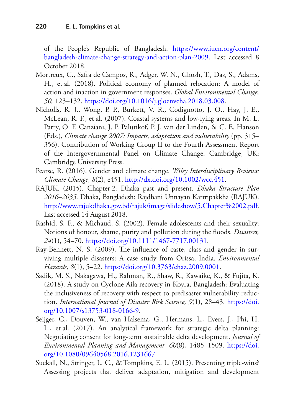of the People's Republic of Bangladesh. [https://www.iucn.org/content/](https://www.iucn.org/content/bangladesh-climate-change-strategy-and-action-plan-2009) [bangladesh-climate-change-strategy-and-action-plan-2009.](https://www.iucn.org/content/bangladesh-climate-change-strategy-and-action-plan-2009) Last accessed 8 October 2018.

- <span id="page-19-7"></span>Mortreux, C., Safra de Campos, R., Adger, W. N., Ghosh, T., Das, S., Adams, H., et al. (2018). Political economy of planned relocation: A model of action and inaction in government responses. *Global Environmental Change, 50,* 123–132. [https://doi.org/10.1016/j.gloenvcha.2018.03.008.](http://dx.doi.org/10.1016/j.gloenvcha.2018.03.008)
- <span id="page-19-1"></span>Nicholls, R. J., Wong, P. P., Burkett, V. R., Codignotto, J. O., Hay, J. E., McLean, R. F., et al. (2007). Coastal systems and low-lying areas. In M. L. Parry, O. F. Canziani, J. P. Palutikof, P. J. van der Linden, & C. E. Hanson (Eds.), *Climate change 2007: Impacts, adaptation and vulnerability* (pp. 315– 356). Contribution of Working Group II to the Fourth Assessment Report of the Intergovernmental Panel on Climate Change. Cambridge, UK: Cambridge University Press.
- <span id="page-19-2"></span>Pearse, R. (2016). Gender and climate change. *Wiley Interdisciplinary Reviews: Climate Change, 8*(2), e451. [http://dx.doi.org/10.1002/wcc.451.](http://dx.doi.org/10.1002/wcc.451)
- <span id="page-19-0"></span>RAJUK. (2015). Chapter 2: Dhaka past and present. *Dhaka Structure Plan 2016–2035*. Dhaka, Bangladesh: Rajdhani Unnayan Kartripakkha (RAJUK). [http://www.rajukdhaka.gov.bd/rajuk/image/slideshow/5.Chapter%2002.pdf.](http://www.rajukdhaka.gov.bd/rajuk/image/slideshow/5.Chapter%2002.pdf) Last accessed 14 August 2018.
- <span id="page-19-5"></span>Rashid, S. F., & Michaud, S. (2002). Female adolescents and their sexuality: Notions of honour, shame, purity and pollution during the foods. *Disasters, 24*(1), 54–70. [https://doi.org/10.1111/1467-7717.00131.](http://dx.doi.org/10.1111/1467-7717.00131)
- <span id="page-19-3"></span>Ray-Bennett, N. S. (2009). The influence of caste, class and gender in surviving multiple disasters: A case study from Orissa, India. *Environmental Hazards, 8*(1), 5–22. [https://doi.org/10.3763/ehaz.2009.0001.](http://dx.doi.org/10.3763/ehaz.2009.0001)
- <span id="page-19-6"></span>Sadik, M. S., Nakagawa, H., Rahman, R., Shaw, R., Kawaike, K., & Fujita, K. (2018). A study on Cyclone Aila recovery in Koyra, Bangladesh: Evaluating the inclusiveness of recovery with respect to predisaster vulnerability reduction. *International Journal of Disaster Risk Science, 9*(1), 28–43. [https://doi.](http://dx.doi.org/10.1007/s13753-018-0166-9) [org/10.1007/s13753-018-0166-9](http://dx.doi.org/10.1007/s13753-018-0166-9).
- <span id="page-19-4"></span>Seijger, C., Douven, W., van Halsema, G., Hermans, L., Evers, J., Phi, H. L., et al. (2017). An analytical framework for strategic delta planning: Negotiating consent for long-term sustainable delta development. *Journal of Environmental Planning and Management, 60*(8), 1485–1509. [https://doi.](http://dx.doi.org/10.1080/09640568.2016.1231667) [org/10.1080/09640568.2016.1231667](http://dx.doi.org/10.1080/09640568.2016.1231667).
- <span id="page-19-8"></span>Suckall, N., Stringer, L. C., & Tompkins, E. L. (2015). Presenting triple-wins? Assessing projects that deliver adaptation, mitigation and development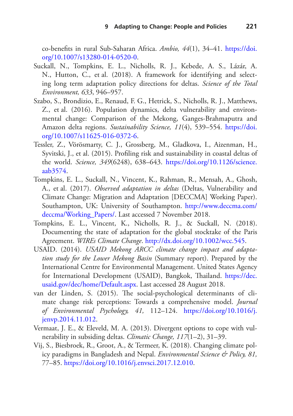co-benefts in rural Sub-Saharan Africa. *Ambio, 44*(1), 34–41. [https://doi.](http://dx.doi.org/10.1007/s13280-014-0520-0) [org/10.1007/s13280-014-0520-0](http://dx.doi.org/10.1007/s13280-014-0520-0).

- <span id="page-20-8"></span>Suckall, N., Tompkins, E. L., Nicholls, R. J., Kebede, A. S., Lázár, A. N., Hutton, C., et al. (2018). A framework for identifying and selecting long term adaptation policy directions for deltas. *Science of the Total Environment, 633*, 946–957.
- <span id="page-20-1"></span>Szabo, S., Brondizio, E., Renaud, F. G., Hetrick, S., Nicholls, R. J., Matthews, Z., et al. (2016). Population dynamics, delta vulnerability and environmental change: Comparison of the Mekong, Ganges-Brahmaputra and Amazon delta regions. *Sustainability Science, 11*(4), 539–554. [https://doi.](http://dx.doi.org/10.1007/s11625-016-0372-6) [org/10.1007/s11625-016-0372-6](http://dx.doi.org/10.1007/s11625-016-0372-6).
- <span id="page-20-2"></span>Tessler, Z., Vörösmarty, C. J., Grossberg, M., Gladkova, I., Aizenman, H., Syvitski, J., et al. (2015). Profling risk and sustainability in coastal deltas of the world. *Science, 349*(6248), 638–643. [https://doi.org/10.1126/science.](http://dx.doi.org/10.1126/science.aab3574) [aab3574.](http://dx.doi.org/10.1126/science.aab3574)
- <span id="page-20-6"></span>Tompkins, E. L., Suckall, N., Vincent, K., Rahman, R., Mensah, A., Ghosh, A., et al. (2017). *Observed adaptation in deltas* (Deltas, Vulnerability and Climate Change: Migration and Adaptation [DECCMA] Working Paper). Southampton, UK: University of Southampton. [http://www.deccma.com/](http://www.deccma.com/deccma/Working_Papers/) [deccma/Working\\_Papers/](http://www.deccma.com/deccma/Working_Papers/). Last accessed 7 November 2018.
- <span id="page-20-4"></span>Tompkins, E. L., Vincent, K., Nicholls, R. J., & Suckall, N. (2018). Documenting the state of adaptation for the global stocktake of the Paris Agreement. *WIREs Climate Change*. [http://dx.doi.org/10.1002/wcc.545.](http://dx.doi.org/10.1002/wcc.545)
- <span id="page-20-7"></span>USAID. (2014). *USAID Mekong ARCC climate change impact and adaptation study for the Lower Mekong Basin* (Summary report). Prepared by the International Centre for Environmental Management. United States Agency for International Development (USAID), Bangkok, Thailand. [https://dec.](https://dec.usaid.gov/dec/home/Default.aspx) [usaid.gov/dec/home/Default.aspx](https://dec.usaid.gov/dec/home/Default.aspx). Last accessed 28 August 2018.
- <span id="page-20-3"></span>van der Linden, S. (2015). The social-psychological determinants of climate change risk perceptions: Towards a comprehensive model. *Journal of Environmental Psychology, 41,* 112–124. [https://doi.org/10.1016/j.](http://dx.doi.org/10.1016/j.jenvp.2014.11.012) [jenvp.2014.11.012](http://dx.doi.org/10.1016/j.jenvp.2014.11.012).
- <span id="page-20-0"></span>Vermaat, J. E., & Eleveld, M. A. (2013). Divergent options to cope with vulnerability in subsiding deltas. *Climatic Change, 117*(1–2), 31–39.
- <span id="page-20-5"></span>Vij, S., Biesbroek, R., Groot, A., & Termeer, K. (2018). Changing climate policy paradigms in Bangladesh and Nepal. *Environmental Science & Policy, 81,* 77–85. [https://doi.org/10.1016/j.envsci.2017.12.010.](http://dx.doi.org/10.1016/j.envsci.2017.12.010)